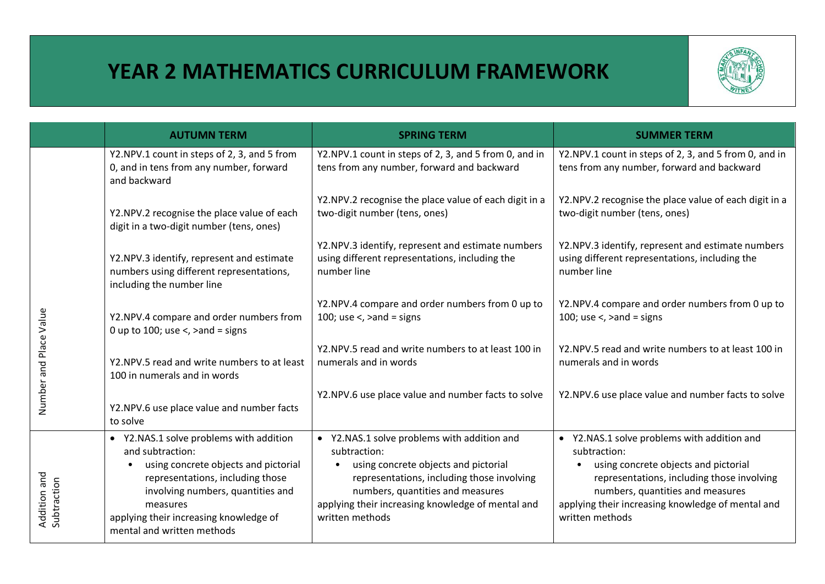## **YEAR 2 MATHEMATICS CURRICULUM FRAMEWORK**



|                             | <b>AUTUMN TERM</b>                                                                                                                                                                                                                                               | <b>SPRING TERM</b>                                                                                                                                                                                                                                            | <b>SUMMER TERM</b>                                                                                                                                                                                                                                            |
|-----------------------------|------------------------------------------------------------------------------------------------------------------------------------------------------------------------------------------------------------------------------------------------------------------|---------------------------------------------------------------------------------------------------------------------------------------------------------------------------------------------------------------------------------------------------------------|---------------------------------------------------------------------------------------------------------------------------------------------------------------------------------------------------------------------------------------------------------------|
|                             | Y2.NPV.1 count in steps of 2, 3, and 5 from<br>0, and in tens from any number, forward<br>and backward                                                                                                                                                           | Y2.NPV.1 count in steps of 2, 3, and 5 from 0, and in<br>tens from any number, forward and backward                                                                                                                                                           | Y2.NPV.1 count in steps of 2, 3, and 5 from 0, and in<br>tens from any number, forward and backward                                                                                                                                                           |
|                             | Y2.NPV.2 recognise the place value of each<br>digit in a two-digit number (tens, ones)                                                                                                                                                                           | Y2.NPV.2 recognise the place value of each digit in a<br>two-digit number (tens, ones)                                                                                                                                                                        | Y2.NPV.2 recognise the place value of each digit in a<br>two-digit number (tens, ones)                                                                                                                                                                        |
|                             | Y2.NPV.3 identify, represent and estimate<br>numbers using different representations,<br>including the number line                                                                                                                                               | Y2.NPV.3 identify, represent and estimate numbers<br>using different representations, including the<br>number line                                                                                                                                            | Y2.NPV.3 identify, represent and estimate numbers<br>using different representations, including the<br>number line                                                                                                                                            |
| Place Value                 | Y2.NPV.4 compare and order numbers from<br>0 up to 100; use $\lt$ , $\gt$ and = signs                                                                                                                                                                            | Y2.NPV.4 compare and order numbers from 0 up to<br>100; use $\lt$ , $\gt$ and = signs                                                                                                                                                                         | Y2.NPV.4 compare and order numbers from 0 up to<br>100; use $\lt$ , $\gt$ and = signs                                                                                                                                                                         |
|                             | Y2.NPV.5 read and write numbers to at least<br>100 in numerals and in words                                                                                                                                                                                      | Y2.NPV.5 read and write numbers to at least 100 in<br>numerals and in words                                                                                                                                                                                   | Y2.NPV.5 read and write numbers to at least 100 in<br>numerals and in words                                                                                                                                                                                   |
| Number and                  | Y2.NPV.6 use place value and number facts<br>to solve                                                                                                                                                                                                            | Y2.NPV.6 use place value and number facts to solve                                                                                                                                                                                                            | Y2.NPV.6 use place value and number facts to solve                                                                                                                                                                                                            |
| Addition and<br>Subtraction | • Y2.NAS.1 solve problems with addition<br>and subtraction:<br>using concrete objects and pictorial<br>representations, including those<br>involving numbers, quantities and<br>measures<br>applying their increasing knowledge of<br>mental and written methods | • Y2.NAS.1 solve problems with addition and<br>subtraction:<br>using concrete objects and pictorial<br>representations, including those involving<br>numbers, quantities and measures<br>applying their increasing knowledge of mental and<br>written methods | • Y2.NAS.1 solve problems with addition and<br>subtraction:<br>using concrete objects and pictorial<br>representations, including those involving<br>numbers, quantities and measures<br>applying their increasing knowledge of mental and<br>written methods |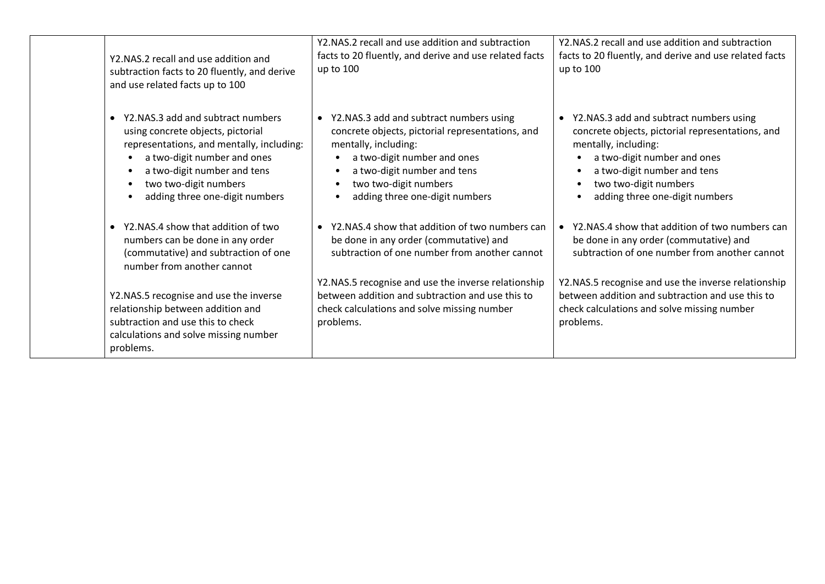| Y2.NAS.2 recall and use addition and<br>subtraction facts to 20 fluently, and derive<br>and use related facts up to 100                                                                                                                      | Y2.NAS.2 recall and use addition and subtraction<br>facts to 20 fluently, and derive and use related facts<br>up to 100                                                                                                                                     | Y2.NAS.2 recall and use addition and subtraction<br>facts to 20 fluently, and derive and use related facts<br>up to 100                                                                                                                                                             |
|----------------------------------------------------------------------------------------------------------------------------------------------------------------------------------------------------------------------------------------------|-------------------------------------------------------------------------------------------------------------------------------------------------------------------------------------------------------------------------------------------------------------|-------------------------------------------------------------------------------------------------------------------------------------------------------------------------------------------------------------------------------------------------------------------------------------|
| Y2.NAS.3 add and subtract numbers<br>using concrete objects, pictorial<br>representations, and mentally, including:<br>a two-digit number and ones<br>a two-digit number and tens<br>two two-digit numbers<br>adding three one-digit numbers | • Y2.NAS.3 add and subtract numbers using<br>concrete objects, pictorial representations, and<br>mentally, including:<br>a two-digit number and ones<br>a two-digit number and tens<br>two two-digit numbers<br>$\bullet$<br>adding three one-digit numbers | Y2.NAS.3 add and subtract numbers using<br>$\bullet$<br>concrete objects, pictorial representations, and<br>mentally, including:<br>a two-digit number and ones<br>$\bullet$<br>a two-digit number and tens<br>two two-digit numbers<br>$\bullet$<br>adding three one-digit numbers |
| Y2.NAS.4 show that addition of two<br>$\bullet$<br>numbers can be done in any order<br>(commutative) and subtraction of one<br>number from another cannot                                                                                    | • Y2.NAS.4 show that addition of two numbers can<br>be done in any order (commutative) and<br>subtraction of one number from another cannot                                                                                                                 | Y2.NAS.4 show that addition of two numbers can<br>be done in any order (commutative) and<br>subtraction of one number from another cannot                                                                                                                                           |
| Y2.NAS.5 recognise and use the inverse<br>relationship between addition and<br>subtraction and use this to check<br>calculations and solve missing number<br>problems.                                                                       | Y2.NAS.5 recognise and use the inverse relationship<br>between addition and subtraction and use this to<br>check calculations and solve missing number<br>problems.                                                                                         | Y2.NAS.5 recognise and use the inverse relationship<br>between addition and subtraction and use this to<br>check calculations and solve missing number<br>problems.                                                                                                                 |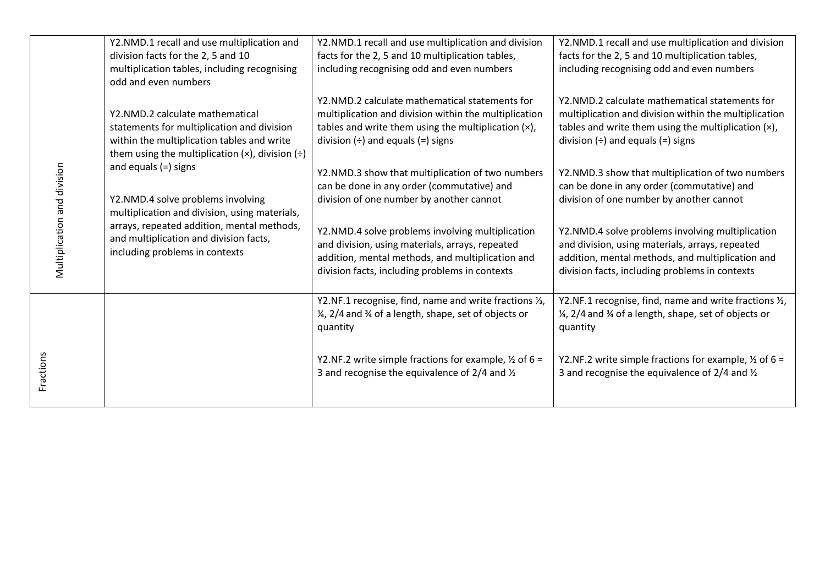| Multiplication and division | Y2.NMD.1 recall and use multiplication and<br>division facts for the 2, 5 and 10<br>multiplication tables, including recognising<br>odd and even numbers                                                                               | Y2.NMD.1 recall and use multiplication and division<br>facts for the 2, 5 and 10 multiplication tables,<br>including recognising odd and even numbers                                                      | Y2.NMD.1 recall and use multiplication and division<br>facts for the 2, 5 and 10 multiplication tables,<br>including recognising odd and even numbers                                                      |
|-----------------------------|----------------------------------------------------------------------------------------------------------------------------------------------------------------------------------------------------------------------------------------|------------------------------------------------------------------------------------------------------------------------------------------------------------------------------------------------------------|------------------------------------------------------------------------------------------------------------------------------------------------------------------------------------------------------------|
|                             | Y2.NMD.2 calculate mathematical<br>statements for multiplication and division<br>within the multiplication tables and write<br>them using the multiplication $(x)$ , division $(\div)$                                                 | Y2.NMD.2 calculate mathematical statements for<br>multiplication and division within the multiplication<br>tables and write them using the multiplication (x),<br>division $(\div)$ and equals $(=)$ signs | Y2.NMD.2 calculate mathematical statements for<br>multiplication and division within the multiplication<br>tables and write them using the multiplication (x),<br>division $(\div)$ and equals $(=)$ signs |
|                             | and equals $(=)$ signs<br>Y2.NMD.4 solve problems involving<br>multiplication and division, using materials,<br>arrays, repeated addition, mental methods,<br>and multiplication and division facts,<br>including problems in contexts | Y2.NMD.3 show that multiplication of two numbers<br>can be done in any order (commutative) and<br>division of one number by another cannot                                                                 | Y2.NMD.3 show that multiplication of two numbers<br>can be done in any order (commutative) and<br>division of one number by another cannot                                                                 |
|                             |                                                                                                                                                                                                                                        | Y2.NMD.4 solve problems involving multiplication<br>and division, using materials, arrays, repeated<br>addition, mental methods, and multiplication and<br>division facts, including problems in contexts  | Y2.NMD.4 solve problems involving multiplication<br>and division, using materials, arrays, repeated<br>addition, mental methods, and multiplication and<br>division facts, including problems in contexts  |
|                             |                                                                                                                                                                                                                                        | Y2.NF.1 recognise, find, name and write fractions 1/3,<br>1/4, 2/4 and 3/4 of a length, shape, set of objects or<br>quantity                                                                               | Y2.NF.1 recognise, find, name and write fractions 1/3,<br>1/4, 2/4 and 3/4 of a length, shape, set of objects or<br>quantity                                                                               |
| Fractions                   |                                                                                                                                                                                                                                        | Y2.NF.2 write simple fractions for example, $\frac{1}{2}$ of 6 =<br>3 and recognise the equivalence of $2/4$ and $\frac{1}{2}$                                                                             | Y2.NF.2 write simple fractions for example, $\frac{1}{2}$ of 6 =<br>3 and recognise the equivalence of $2/4$ and $\frac{1}{2}$                                                                             |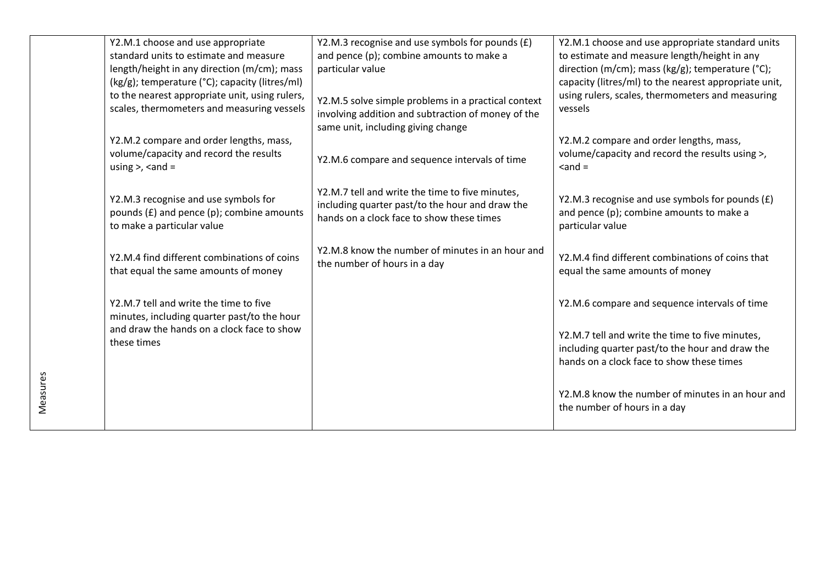| Y2.M.1 choose and use appropriate                                                                               | Y2.M.3 recognise and use symbols for pounds (£)                                                           | Y2.M.1 choose and use appropriate standard units                                                                |
|-----------------------------------------------------------------------------------------------------------------|-----------------------------------------------------------------------------------------------------------|-----------------------------------------------------------------------------------------------------------------|
| standard units to estimate and measure                                                                          | and pence (p); combine amounts to make a                                                                  | to estimate and measure length/height in any                                                                    |
| length/height in any direction (m/cm); mass                                                                     | particular value                                                                                          | direction (m/cm); mass (kg/g); temperature (°C);                                                                |
| (kg/g); temperature (°C); capacity (litres/ml)                                                                  |                                                                                                           | capacity (litres/ml) to the nearest appropriate unit,                                                           |
| to the nearest appropriate unit, using rulers,<br>scales, thermometers and measuring vessels                    | Y2.M.5 solve simple problems in a practical context<br>involving addition and subtraction of money of the | using rulers, scales, thermometers and measuring<br>vessels                                                     |
|                                                                                                                 | same unit, including giving change                                                                        |                                                                                                                 |
| Y2.M.2 compare and order lengths, mass,                                                                         |                                                                                                           | Y2.M.2 compare and order lengths, mass,                                                                         |
| volume/capacity and record the results<br>using $>$ , $<$ and $=$                                               | Y2.M.6 compare and sequence intervals of time                                                             | volume/capacity and record the results using >,<br>$<$ and $=$                                                  |
|                                                                                                                 | Y2.M.7 tell and write the time to five minutes,                                                           |                                                                                                                 |
| Y2.M.3 recognise and use symbols for<br>pounds (£) and pence (p); combine amounts<br>to make a particular value | including quarter past/to the hour and draw the<br>hands on a clock face to show these times              | Y2.M.3 recognise and use symbols for pounds (£)<br>and pence (p); combine amounts to make a<br>particular value |
| Y2.M.4 find different combinations of coins                                                                     | Y2.M.8 know the number of minutes in an hour and<br>the number of hours in a day                          | Y2.M.4 find different combinations of coins that                                                                |
| that equal the same amounts of money                                                                            |                                                                                                           | equal the same amounts of money                                                                                 |
| Y2.M.7 tell and write the time to five                                                                          |                                                                                                           | Y2.M.6 compare and sequence intervals of time                                                                   |
| minutes, including quarter past/to the hour                                                                     |                                                                                                           |                                                                                                                 |
| and draw the hands on a clock face to show                                                                      |                                                                                                           | Y2.M.7 tell and write the time to five minutes,                                                                 |
| these times                                                                                                     |                                                                                                           | including quarter past/to the hour and draw the                                                                 |
|                                                                                                                 |                                                                                                           | hands on a clock face to show these times                                                                       |
|                                                                                                                 |                                                                                                           |                                                                                                                 |
|                                                                                                                 |                                                                                                           | Y2.M.8 know the number of minutes in an hour and                                                                |
|                                                                                                                 |                                                                                                           | the number of hours in a day                                                                                    |
|                                                                                                                 |                                                                                                           |                                                                                                                 |